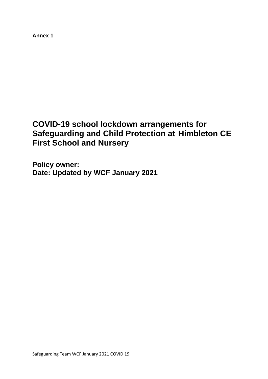**Annex 1**

# **COVID-19 school lockdown arrangements for Safeguarding and Child Protection at Himbleton CE First School and Nursery**

**Policy owner:**  Date: Updated by WCF January 2021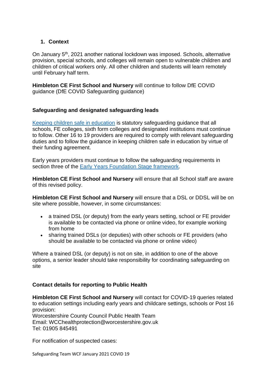## **1. Context**

On January 5<sup>th</sup>, 2021 another national lockdown was imposed. Schools, alternative provision, special schools, and colleges will remain open to vulnerable children and children of critical workers only. All other children and students will learn remotely until February half term.

**Himbleton CE First School and Nursery** will continue to follow DfE COVID guidance (DfE COVID Safeguarding guidance)

## **Safeguarding and designated safeguarding leads**

[Keeping children safe in education](https://www.gov.uk/government/publications/keeping-children-safe-in-education--2) is statutory safeguarding guidance that all schools, FE colleges, sixth form colleges and designated institutions must continue to follow. Other 16 to 19 providers are required to comply with relevant safeguarding duties and to follow the guidance in keeping children safe in education by virtue of their funding agreement.

Early years providers must continue to follow the safeguarding requirements in section three of the [Early Years Foundation Stage framework.](https://www.gov.uk/government/publications/early-years-foundation-stage-framework--2)

**Himbleton CE First School and Nursery** will ensure that all School staff are aware of this revised policy.

**Himbleton CE First School and Nursery** will ensure that a DSL or DDSL will be on site where possible, however, in some circumstances:

- a trained DSL (or deputy) from the early years setting, school or FE provider is available to be contacted via phone or online video, for example working from home
- sharing trained DSLs (or deputies) with other schools or FE providers (who should be available to be contacted via phone or online video)

Where a trained DSL (or deputy) is not on site, in addition to one of the above options, a senior leader should take responsibility for coordinating safeguarding on site

#### **Contact details for reporting to Public Health**

**Himbleton CE First School and Nursery** will contact for COVID-19 queries related to education settings including early years and childcare settings, schools or Post 16 provision:

Worcestershire County Council Public Health Team Email: WCChealthprotection@worcestershire.gov.uk Tel: 01905 845491

For notification of suspected cases: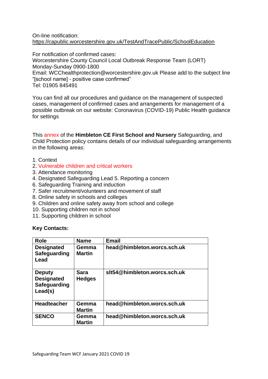#### On-line notification: <https://capublic.worcestershire.gov.uk/TestAndTracePublic/SchoolEducation>

For notification of confirmed cases: Worcestershire County Council Local Outbreak Response Team (LORT) Monday-Sunday 0900-1800 Email: WCChealthprotection@worcestershire.gov.uk Please add to the subject line "[school name] - positive case confirmed" Tel: 01905 845491

You can find all our procedures and guidance on the management of suspected cases, management of confirmed cases and arrangements for management of a possible outbreak on our website: Coronavirus (COVID-19) Public Health guidance for settings

This annex of the **Himbleton CE First School and Nursery** Safeguarding, and Child Protection policy contains details of our individual safeguarding arrangements in the following areas:

- 1. Context
- 2. Vulnerable children and critical workers
- 3. Attendance monitoring
- 4. Designated Safeguarding Lead 5. Reporting a concern
- 6. Safeguarding Training and induction
- 7. Safer recruitment/volunteers and movement of staff
- 8. Online safety in schools and colleges
- 9. Children and online safety away from school and college
- 10. Supporting children not in school
- 11. Supporting children in school

#### **Key Contacts:**

| <b>Role</b>                                                   | <b>Name</b>                  | <b>Email</b>                 |
|---------------------------------------------------------------|------------------------------|------------------------------|
| <b>Designated</b><br>Safeguarding<br>Lead                     | Gemma<br><b>Martin</b>       | head@himbleton.worcs.sch.uk  |
| <b>Deputy</b><br><b>Designated</b><br>Safeguarding<br>Lead(s) | <b>Sara</b><br><b>Hedges</b> | slt54@himbleton.worcs.sch.uk |
| <b>Headteacher</b>                                            | Gemma<br><b>Martin</b>       | head@himbleton.worcs.sch.uk  |
| <b>SENCO</b>                                                  | Gemma<br><b>Martin</b>       | head@himbleton.worcs.sch.uk  |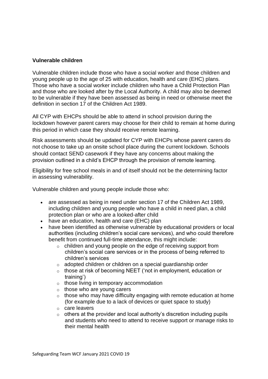#### **Vulnerable children**

Vulnerable children include those who have a social worker and those children and young people up to the age of 25 with education, health and care (EHC) plans. Those who have a social worker include children who have a Child Protection Plan and those who are looked after by the Local Authority. A child may also be deemed to be vulnerable if they have been assessed as being in need or otherwise meet the definition in section 17 of the Children Act 1989.

All CYP with EHCPs should be able to attend in school provision during the lockdown however parent carers may choose for their child to remain at home during this period in which case they should receive remote learning.

Risk assessments should be updated for CYP with EHCPs whose parent carers do not choose to take up an onsite school place during the current lockdown. Schools should contact SEND casework if they have any concerns about making the provision outlined in a child's EHCP through the provision of remote learning.

Eligibility for free school meals in and of itself should not be the determining factor in assessing vulnerability.

Vulnerable children and young people include those who:

- are assessed as being in need under section 17 of the Children Act 1989, including children and young people who have a child in need plan, a child protection plan or who are a looked-after child
- have an education, health and care (EHC) plan
- have been identified as otherwise vulnerable by educational providers or local authorities (including children's social care services), and who could therefore benefit from continued full-time attendance, this might include:
	- o children and young people on the edge of receiving support from children's social care services or in the process of being referred to children's services
	- o adopted children or children on a special guardianship order
	- o those at risk of becoming NEET ('not in employment, education or training')
	- o those living in temporary accommodation
	- $\circ$  those who are young carers
	- $\circ$  those who may have difficulty engaging with remote education at home (for example due to a lack of devices or quiet space to study)
	- o care leavers
	- $\circ$  others at the provider and local authority's discretion including pupils and students who need to attend to receive support or manage risks to their mental health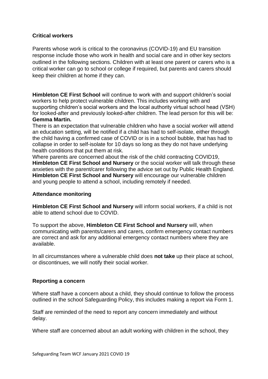## **Critical workers**

Parents whose work is critical to the coronavirus (COVID-19) and EU transition response include those who work in health and social care and in other key sectors outlined in the following sections. Children with at least one parent or carers who is a critical worker can go to school or college if required, but parents and carers should keep their children at home if they can.

**Himbleton CE First School** will continue to work with and support children's social workers to help protect vulnerable children. This includes working with and supporting children's social workers and the local authority virtual school head (VSH) for looked-after and previously looked-after children. The lead person for this will be: **Gemma Martin.**

There is an expectation that vulnerable children who have a social worker will attend an education setting, will be notified if a child has had to self-isolate, either through the child having a confirmed case of COVID or is in a school bubble, that has had to collapse in order to self-isolate for 10 days so long as they do not have underlying health conditions that put them at risk.

Where parents are concerned about the risk of the child contracting COVID19, **Himbleton CE First School and Nursery** or the social worker will talk through these anxieties with the parent/carer following the advice set out by Public Health England. **Himbleton CE First School and Nursery** will encourage our vulnerable children and young people to attend a school, including remotely if needed.

#### **Attendance monitoring**

**Himbleton CE First School and Nursery** will inform social workers, if a child is not able to attend school due to COVID.

To support the above, **Himbleton CE First School and Nursery** will, when communicating with parents/carers and carers, confirm emergency contact numbers are correct and ask for any additional emergency contact numbers where they are available.

In all circumstances where a vulnerable child does **not take** up their place at school, or discontinues, we will notify their social worker.

#### **Reporting a concern**

Where staff have a concern about a child, they should continue to follow the process outlined in the school Safeguarding Policy, this includes making a report via Form 1.

Staff are reminded of the need to report any concern immediately and without delay.

Where staff are concerned about an adult working with children in the school, they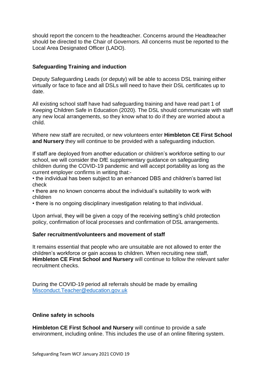should report the concern to the headteacher. Concerns around the Headteacher should be directed to the Chair of Governors. All concerns must be reported to the Local Area Designated Officer (LADO).

# **Safeguarding Training and induction**

Deputy Safeguarding Leads (or deputy) will be able to access DSL training either virtually or face to face and all DSLs will need to have their DSL certificates up to date.

All existing school staff have had safeguarding training and have read part 1 of Keeping Children Safe in Education (2020). The DSL should communicate with staff any new local arrangements, so they know what to do if they are worried about a child.

Where new staff are recruited, or new volunteers enter **Himbleton CE First School and Nursery** they will continue to be provided with a safeguarding induction.

If staff are deployed from another education or children's workforce setting to our school, we will consider the DfE supplementary guidance on safeguarding children during the COVID-19 pandemic and will accept portability as long as the current employer confirms in writing that:-

• the individual has been subject to an enhanced DBS and children's barred list check

• there are no known concerns about the individual's suitability to work with children

• there is no ongoing disciplinary investigation relating to that individual.

Upon arrival, they will be given a copy of the receiving setting's child protection policy, confirmation of local processes and confirmation of DSL arrangements.

#### **Safer recruitment/volunteers and movement of staff**

It remains essential that people who are unsuitable are not allowed to enter the children's workforce or gain access to children. When recruiting new staff, **Himbleton CE First School and Nursery** will continue to follow the relevant safer recruitment checks.

During the COVID-19 period all referrals should be made by emailing [Misconduct.Teacher@education.gov.uk](mailto:Misconduct.Teacher@education.gov.uk)

#### **Online safety in schools**

**Himbleton CE First School and Nursery** will continue to provide a safe environment, including online. This includes the use of an online filtering system.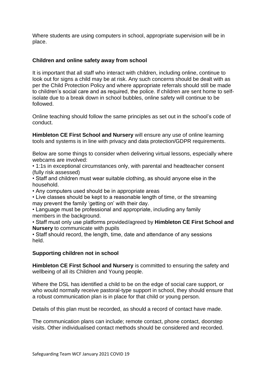Where students are using computers in school, appropriate supervision will be in place.

# **Children and online safety away from school**

It is important that all staff who interact with children, including online, continue to look out for signs a child may be at risk. Any such concerns should be dealt with as per the Child Protection Policy and where appropriate referrals should still be made to children's social care and as required, the police. If children are sent home to selfisolate due to a break down in school bubbles, online safety will continue to be followed.

Online teaching should follow the same principles as set out in the school's code of conduct.

**Himbleton CE First School and Nursery** will ensure any use of online learning tools and systems is in line with privacy and data protection/GDPR requirements.

Below are some things to consider when delivering virtual lessons, especially where webcams are involved:

• 1:1s in exceptional circumstances only, with parental and headteacher consent (fully risk assessed)

• Staff and children must wear suitable clothing, as should anyone else in the household.

• Any computers used should be in appropriate areas

• Live classes should be kept to a reasonable length of time, or the streaming may prevent the family 'getting on' with their day.

• Language must be professional and appropriate, including any family members in the background.

• Staff must only use platforms provided/agreed by **Himbleton CE First School and Nursery** to communicate with pupils

• Staff should record, the length, time, date and attendance of any sessions held.

#### **Supporting children not in school**

**Himbleton CE First School and Nursery** is committed to ensuring the safety and wellbeing of all its Children and Young people.

Where the DSL has identified a child to be on the edge of social care support, or who would normally receive pastoral-type support in school, they should ensure that a robust communication plan is in place for that child or young person.

Details of this plan must be recorded, as should a record of contact have made.

The communication plans can include; remote contact, phone contact, doorstep visits. Other individualised contact methods should be considered and recorded.